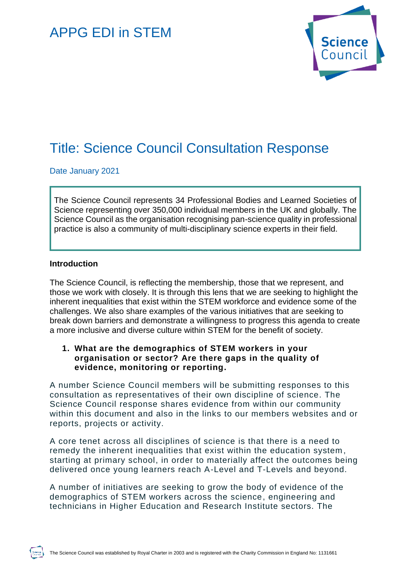# APPG EDI in STEM



# Title: Science Council Consultation Response

Date January 2021

The Science Council represents 34 Professional Bodies and Learned Societies of Science representing over 350,000 individual members in the UK and globally. The Science Council as the organisation recognising pan-science quality in professional practice is also a community of multi-disciplinary science experts in their field.

#### **Introduction**

The Science Council, is reflecting the membership, those that we represent, and those we work with closely. It is through this lens that we are seeking to highlight the inherent inequalities that exist within the STEM workforce and evidence some of the challenges. We also share examples of the various initiatives that are seeking to break down barriers and demonstrate a willingness to progress this agenda to create a more inclusive and diverse culture within STEM for the benefit of society.

### **1. What are the demographics of STEM workers in your organisation or sector? Are there gaps in the quality of evidence, monitoring or reporting.**

A number Science Council members will be submitting responses to this consultation as representatives of their own discipline of science. The Science Council response shares evidence from within our community within this document and also in the links to our members websites and or reports, projects or activity.

A core tenet across all disciplines of science is that there is a need to remedy the inherent inequalities that exist within the education system , starting at primary school, in order to materially affect the outcomes being delivered once young learners reach A-Level and T-Levels and beyond.

A number of initiatives are seeking to grow the body of evidence of the demographics of STEM workers across the science, engineering and technicians in Higher Education and Research Institute sectors. The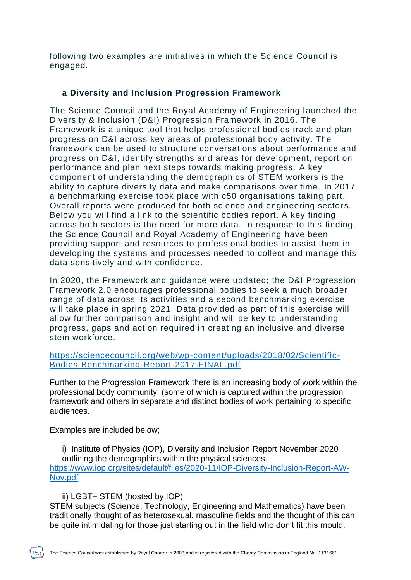following two examples are initiatives in which the Science Council is engaged.

# **a Diversity and Inclusion Progression Framework**

The Science Council and the Royal Academy of Engineering launched the Diversity & Inclusion (D&I) Progression Framework in 2016. The Framework is a unique tool that helps professional bodies track and plan progress on D&I across key areas of professional body activity. The framework can be used to structure conversations about performance and progress on D&I, identify strengths and areas for development, report on performance and plan next steps towards making progress. A key component of understanding the demographics of STEM workers is the ability to capture diversity data and make comparisons over time. In 2017 a benchmarking exercise took place with c50 organisations taking part. Overall reports were produced for both science and engineering sector s. Below you will find a link to the scientific bodies report. A key finding across both sectors is the need for more data. In response to this finding, the Science Council and Royal Academy of Engineering have been providing support and resources to professional bodies to assist them in developing the systems and processes needed to collect and manage this data sensitively and with confidence.

In 2020, the Framework and guidance were updated; the D&I Progression Framework 2.0 encourages professional bodies to seek a much broader range of data across its activities and a second benchmarking exercise will take place in spring 2021. Data provided as part of this exercise will allow further comparison and insight and will be key to understanding progress, gaps and action required in creating an inclusive and diverse stem workforce.

### [https://sciencecouncil.org/web/wp-content/uploads/2018/02/Scientific-](https://sciencecouncil.org/web/wp-content/uploads/2018/02/Scientific-Bodies-Benchmarking-Report-2017-FINAL.pdf)[Bodies-Benchmarking-Report-2017-FINAL.pdf](https://sciencecouncil.org/web/wp-content/uploads/2018/02/Scientific-Bodies-Benchmarking-Report-2017-FINAL.pdf)

Further to the Progression Framework there is an increasing body of work within the professional body community, (some of which is captured within the progression framework and others in separate and distinct bodies of work pertaining to specific audiences.

Examples are included below;

i) Institute of Physics (IOP), Diversity and Inclusion Report November 2020 outlining the demographics within the physical sciences. [https://www.iop.org/sites/default/files/2020-11/IOP-Diversity-Inclusion-Report-AW-](https://www.iop.org/sites/default/files/2020-11/IOP-Diversity-Inclusion-Report-AW-Nov.pdf)[Nov.pdf](https://www.iop.org/sites/default/files/2020-11/IOP-Diversity-Inclusion-Report-AW-Nov.pdf)

ii) LGBT+ STEM (hosted by IOP)

STEM subjects (Science, Technology, Engineering and Mathematics) have been traditionally thought of as heterosexual, masculine fields and the thought of this can be quite intimidating for those just starting out in the field who don't fit this mould.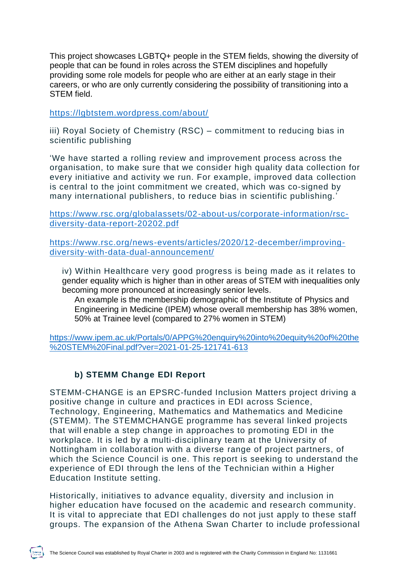This project showcases LGBTQ+ people in the STEM fields, showing the diversity of people that can be found in roles across the STEM disciplines and hopefully providing some role models for people who are either at an early stage in their careers, or who are only currently considering the possibility of transitioning into a STEM field.

<https://lgbtstem.wordpress.com/about/>

iii) Royal Society of Chemistry (RSC) – commitment to reducing bias in scientific publishing

'We have started a rolling review and improvement process across the organisation, to make sure that we consider high quality data collection for every initiative and activity we run. For example, improved data collection is central to the joint commitment we created, which was co-signed by many international publishers, to reduce bias in scientific publishing.'

[https://www.rsc.org/globalassets/02-about-us/corporate-information/rsc](https://www.rsc.org/globalassets/02-about-us/corporate-information/rsc-diversity-data-report-20202.pdf)[diversity-data-report-20202.pdf](https://www.rsc.org/globalassets/02-about-us/corporate-information/rsc-diversity-data-report-20202.pdf)

[https://www.rsc.org/news-events/articles/2020/12-december/improving](https://www.rsc.org/news-events/articles/2020/12-december/improving-diversity-with-data-dual-announcement/)[diversity-with-data-dual-announcement/](https://www.rsc.org/news-events/articles/2020/12-december/improving-diversity-with-data-dual-announcement/)

iv) Within Healthcare very good progress is being made as it relates to gender equality which is higher than in other areas of STEM with inequalities only becoming more pronounced at increasingly senior levels.

An example is the membership demographic of the Institute of Physics and Engineering in Medicine (IPEM) whose overall membership has 38% women, 50% at Trainee level (compared to 27% women in STEM)

[https://www.ipem.ac.uk/Portals/0/APPG%20enquiry%20into%20equity%20of%20the](https://www.ipem.ac.uk/Portals/0/APPG%20enquiry%20into%20equity%20of%20the%20STEM%20Final.pdf?ver=2021-01-25-121741-613) [%20STEM%20Final.pdf?ver=2021-01-25-121741-613](https://www.ipem.ac.uk/Portals/0/APPG%20enquiry%20into%20equity%20of%20the%20STEM%20Final.pdf?ver=2021-01-25-121741-613)

## **b) STEMM Change EDI Report**

STEMM-CHANGE is an EPSRC-funded Inclusion Matters project driving a positive change in culture and practices in EDI across Science, Technology, Engineering, Mathematics and Mathematics and Medicine (STEMM). The STEMMCHANGE programme has several linked projects that will enable a step change in approaches to promoting EDI in the workplace. It is led by a multi-disciplinary team at the University of Nottingham in collaboration with a diverse range of project partners, of which the Science Council is one. This report is seeking to understand the experience of EDI through the lens of the Technician within a Higher Education Institute setting.

Historically, initiatives to advance equality, diversity and inclusion in higher education have focused on the academic and research community. It is vital to appreciate that EDI challenges do not just apply to these staff groups. The expansion of the Athena Swan Charter to include professional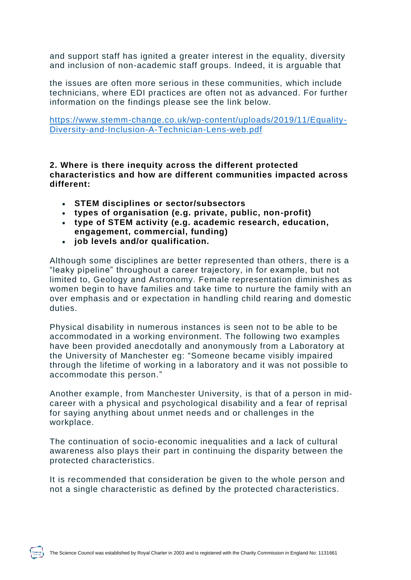and support staff has ignited a greater interest in the equality, diversity and inclusion of non-academic staff groups. Indeed, it is arguable that

the issues are often more serious in these communities, which include technicians, where EDI practices are often not as advanced. For further information on the findings please see the link below.

[https://www.stemm-change.co.uk/wp-content/uploads/2019/11/Equality-](https://www.stemm-change.co.uk/wp-content/uploads/2019/11/Equality-Diversity-and-Inclusion-A-Technician-Lens-web.pdf)[Diversity-and-Inclusion-A-Technician-Lens-web.pdf](https://www.stemm-change.co.uk/wp-content/uploads/2019/11/Equality-Diversity-and-Inclusion-A-Technician-Lens-web.pdf)

**2. Where is there inequity across the different protected characteristics and how are different communities impacted across different:**

- **STEM disciplines or sector/subsectors**
- **types of organisation (e.g. private, public, non-profit)**
- **type of STEM activity (e.g. academic research, education, engagement, commercial, funding)**
- **job levels and/or qualification.**

Although some disciplines are better represented than others, there is a "leaky pipeline" throughout a career trajectory, in for example, but not limited to, Geology and Astronomy. Female representation diminishes as women begin to have families and take time to nurture the family with an over emphasis and or expectation in handling child rearing and domestic duties.

Physical disability in numerous instances is seen not to be able to be accommodated in a working environment. The following two examples have been provided anecdotally and anonymously from a Laboratory at the University of Manchester eg: "Someone became visibly impaired through the lifetime of working in a laboratory and it was not possible to accommodate this person."

Another example, from Manchester University, is that of a person in midcareer with a physical and psychological disability and a fear of reprisal for saying anything about unmet needs and or challenges in the workplace.

The continuation of socio-economic inequalities and a lack of cultural awareness also plays their part in continuing the disparity between the protected characteristics.

It is recommended that consideration be given to the whole person and not a single characteristic as defined by the protected characteristics.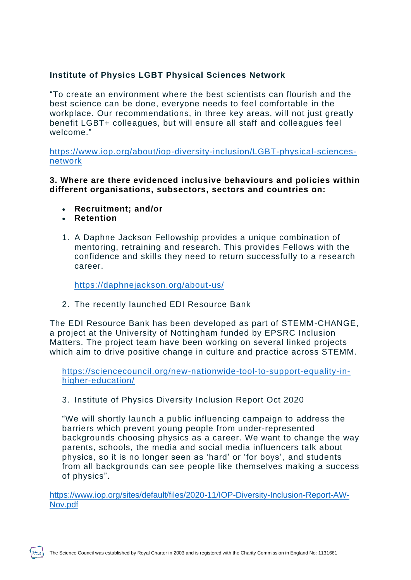# **Institute of Physics LGBT Physical Sciences Network**

"To create an environment where the best scientists can flourish and the best science can be done, everyone needs to feel comfortable in the workplace. Our recommendations, in three key areas, will not just greatly benefit LGBT+ colleagues, but will ensure all staff and colleagues feel welcome."

[https://www.iop.org/about/iop-diversity-inclusion/LGBT-physical-sciences](https://www.iop.org/about/iop-diversity-inclusion/LGBT-physical-sciences-network)[network](https://www.iop.org/about/iop-diversity-inclusion/LGBT-physical-sciences-network)

**3. Where are there evidenced inclusive behaviours and policies within different organisations, subsectors, sectors and countries on:**

- **Recruitment; and/or**
- **Retention**
- 1. A Daphne Jackson Fellowship provides a unique combination of mentoring, retraining and research. This provides Fellows with the confidence and skills they need to return successfully to a research career.

<https://daphnejackson.org/about-us/>

2. The recently launched EDI Resource Bank

The EDI Resource Bank has been developed as part of STEMM-CHANGE, a project at the University of Nottingham funded by EPSRC Inclusion Matters. The project team have been working on several linked projects which aim to drive positive change in culture and practice across STEMM.

[https://sciencecouncil.org/new-nationwide-tool-to-support-equality-in](https://sciencecouncil.org/new-nationwide-tool-to-support-equality-in-higher-education/)[higher-education/](https://sciencecouncil.org/new-nationwide-tool-to-support-equality-in-higher-education/)

3. Institute of Physics Diversity Inclusion Report Oct 2020

"We will shortly launch a public influencing campaign to address the barriers which prevent young people from under-represented backgrounds choosing physics as a career. We want to change the way parents, schools, the media and social media influencers talk about physics, so it is no longer seen as 'hard' or 'for boys', and students from all backgrounds can see people like themselves making a success of physics".

[https://www.iop.org/sites/default/files/2020-11/IOP-Diversity-Inclusion-Report-AW-](https://www.iop.org/sites/default/files/2020-11/IOP-Diversity-Inclusion-Report-AW-Nov.pdf)[Nov.pdf](https://www.iop.org/sites/default/files/2020-11/IOP-Diversity-Inclusion-Report-AW-Nov.pdf)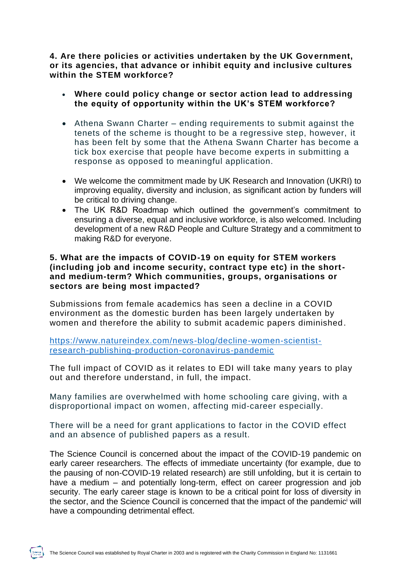**4. Are there policies or activities undertaken by the UK Government, or its agencies, that advance or inhibit equity and inclusive cultures within the STEM workforce?**

- **Where could policy change or sector action lead to addressing the equity of opportunity within the UK's STEM workforce?**
- Athena Swann Charter ending requirements to submit against the tenets of the scheme is thought to be a regressive step, however, it has been felt by some that the Athena Swann Charter has become a tick box exercise that people have become experts in submitting a response as opposed to meaningful application.
- We welcome the commitment made by UK Research and Innovation (UKRI) to improving equality, diversity and inclusion, as significant action by funders will be critical to driving change.
- The UK R&D Roadmap which outlined the government's commitment to ensuring a diverse, equal and inclusive workforce, is also welcomed. Including development of a new R&D People and Culture Strategy and a commitment to making R&D for everyone.

#### **5. What are the impacts of COVID-19 on equity for STEM workers (including job and income security, contract type etc) in the shortand medium-term? Which communities, groups, organisations or sectors are being most impacted?**

Submissions from female academics has seen a decline in a COVID environment as the domestic burden has been largely undertaken by women and therefore the ability to submit academic papers diminished.

[https://www.natureindex.com/news-blog/decline-women-scientist](https://www.natureindex.com/news-blog/decline-women-scientist-research-publishing-production-coronavirus-pandemic)[research-publishing-production-coronavirus-pandemic](https://www.natureindex.com/news-blog/decline-women-scientist-research-publishing-production-coronavirus-pandemic)

The full impact of COVID as it relates to EDI will take many years to play out and therefore understand, in full, the impact.

Many families are overwhelmed with home schooling care giving, with a disproportional impact on women, affecting mid-career especially.

There will be a need for grant applications to factor in the COVID effect and an absence of published papers as a result.

The Science Council is concerned about the impact of the COVID-19 pandemic on early career researchers. The effects of immediate uncertainty (for example, due to the pausing of non-COVID-19 related research) are still unfolding, but it is certain to have a medium – and potentially long-term, effect on career progression and job security. The early career stage is known to be a critical point for loss of diversity in the sector, and the Science Council is concerned that the impact of the pandemic<sup>i</sup> will have a compounding detrimental effect.

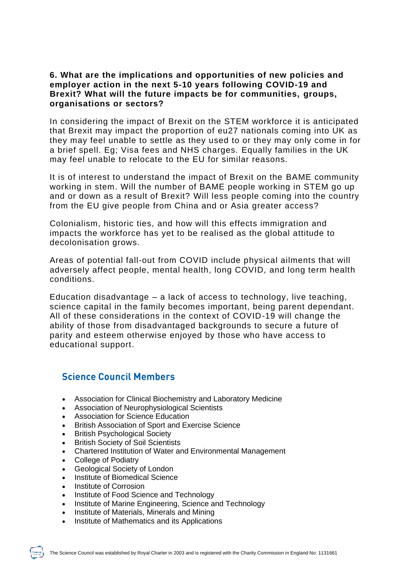### **6. What are the implications and opportunities of new policies and employer action in the next 5-10 years following COVID-19 and Brexit? What will the future impacts be for communities, groups, organisations or sectors?**

In considering the impact of Brexit on the STEM workforce it is anticipated that Brexit may impact the proportion of eu27 nationals coming into UK as they may feel unable to settle as they used to or they may only come in for a brief spell. Eg; Visa fees and NHS charges. Equally families in the UK may feel unable to relocate to the EU for similar reasons.

It is of interest to understand the impact of Brexit on the BAME community working in stem. Will the number of BAME people working in STEM go up and or down as a result of Brexit? Will less people coming into the country from the EU give people from China and or Asia greater access?

Colonialism, historic ties, and how will this effects immigration and impacts the workforce has yet to be realised as the global attitude to decolonisation grows.

Areas of potential fall-out from COVID include physical ailments that will adversely affect people, mental health, long COVID, and long term health conditions.

Education disadvantage – a lack of access to technology, live teaching, science capital in the family becomes important, being parent dependant. All of these considerations in the context of COVID-19 will change the ability of those from disadvantaged backgrounds to secure a future of parity and esteem otherwise enjoyed by those who have access to educational support.

# **Science Council Members**

- Association for Clinical Biochemistry and Laboratory Medicine
- Association of Neurophysiological Scientists
- Association for Science Education
- British Association of Sport and Exercise Science
- British Psychological Society
- **British Society of Soil Scientists**
- Chartered Institution of Water and Environmental Management
- College of Podiatry
- Geological Society of London
- Institute of Biomedical Science
- Institute of Corrosion
- Institute of Food Science and Technology
- Institute of Marine Engineering, Science and Technology
- Institute of Materials, Minerals and Mining
- Institute of Mathematics and its Applications